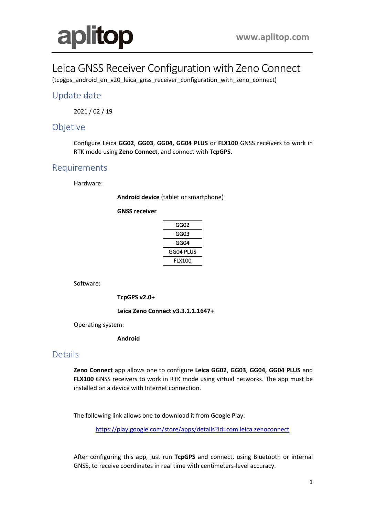

# Leica GNSS Receiver Configuration with Zeno Connect

(tcpgps\_android\_en\_v20\_leica\_gnss\_receiver\_configuration\_with\_zeno\_connect)

## Update date

2021 / 02 / 19

### Objetive

Configure Leica **GG02**, **GG03**, **GG04, GG04 PLUS** or **FLX100** GNSS receivers to work in RTK mode using **Zeno Connect**, and connect with **TcpGPS**.

# Requirements

Hardware:

**Android device** (tablet or smartphone)

**GNSS receiver**

| GG02          |
|---------------|
| GG03          |
| GG04          |
| GG04 PLUS     |
| <b>FLX100</b> |

Software:

**TcpGPS v2.0+**

**Leica Zeno Connect v3.3.1.1.1647+**

Operating system:

**Android**

#### **Details**

**Zeno Connect** app allows one to configure **Leica GG02**, **GG03**, **GG04, GG04 PLUS** and **FLX100** GNSS receivers to work in RTK mode using virtual networks. The app must be installed on a device with Internet connection.

The following link allows one to download it from Google Play:

<https://play.google.com/store/apps/details?id=com.leica.zenoconnect>

After configuring this app, just run **TcpGPS** and connect, using Bluetooth or internal GNSS, to receive coordinates in real time with centimeters-level accuracy.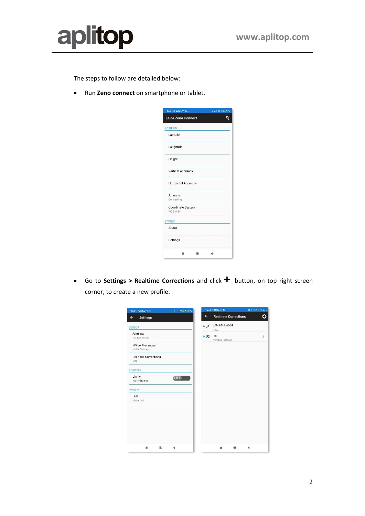



The steps to follow are detailed below:

• Run **Zeno connect** on smartphone or tablet.



• Go to **Settings > Realtime Corrections** and click **+** button, on top right screen corner, to create a new profile.

| 16:51   1.4KB/s ⊙ %                       | $8 \t{C}$ $\mathbb{R}$ $C1$ $97$ |              | 16:51   0.5KB/s <mark>©</mark> to | * 因常 第297 |
|-------------------------------------------|----------------------------------|--------------|-----------------------------------|-----------|
| Settings<br>$\leftarrow$                  |                                  | $\leftarrow$ | <b>Realtime Corrections</b>       | n)        |
| <b>SENSOR</b>                             |                                  | $\bullet$ of | <b>Satellite Based</b><br>SBAS    |           |
| Antenna<br>Not Connected                  |                                  | $\bullet$    | rap<br>Perfil de internet         | ŧ         |
| <b>NMEA Messages</b><br>NMEA Settings     |                                  |              |                                   |           |
| <b>Realtime Corrections</b><br><b>IGN</b> |                                  |              |                                   |           |
| <b>POSITION</b>                           |                                  |              |                                   |           |
| Limits<br>No limits set                   | OFF                              |              |                                   |           |
| <b>SYSTEM</b>                             |                                  |              |                                   |           |
| Unit<br>Meter (m)                         |                                  |              |                                   |           |
|                                           |                                  |              |                                   |           |
|                                           |                                  |              |                                   |           |
|                                           |                                  |              |                                   |           |
|                                           |                                  |              |                                   |           |
| ٠                                         |                                  |              | ш                                 |           |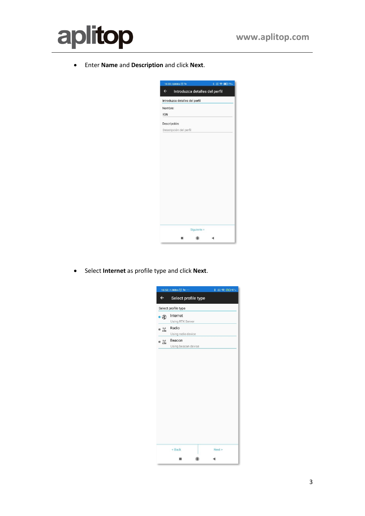

• Enter **Name** and **Description** and click **Next**.

|              | 10:33   0,0KB/s ◎ %            |             | $8 \text{ } \textcircled{3} \text{ } \textcircled{3}$ 75% |  |
|--------------|--------------------------------|-------------|-----------------------------------------------------------|--|
| $\leftarrow$ |                                |             | Introduzca detalles del perfil                            |  |
|              | Introduzca detalles del perfil |             |                                                           |  |
| Nombre:      |                                |             |                                                           |  |
| <b>IGN</b>   |                                |             |                                                           |  |
|              | Descripción:                   |             |                                                           |  |
|              | Descripción del perfil         |             |                                                           |  |
|              |                                |             |                                                           |  |
|              |                                |             |                                                           |  |
|              |                                |             |                                                           |  |
|              |                                |             |                                                           |  |
|              |                                |             |                                                           |  |
|              |                                |             |                                                           |  |
|              |                                |             |                                                           |  |
|              |                                |             |                                                           |  |
|              |                                |             |                                                           |  |
|              |                                |             |                                                           |  |
|              |                                |             |                                                           |  |
|              |                                |             |                                                           |  |
|              |                                |             |                                                           |  |
|              |                                | Siguiente > |                                                           |  |
|              | ▬                              | $\odot$     |                                                           |  |

• Select **Internet** as profile type and click **Next**.

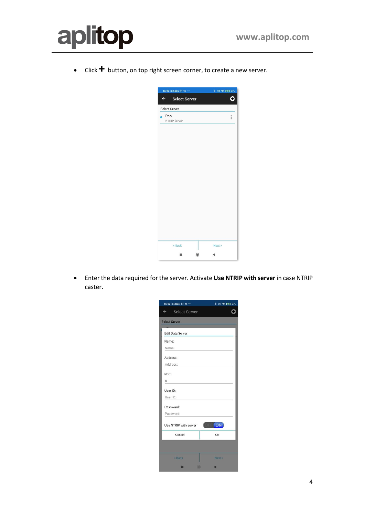

• Click **+** button, on top right screen corner, to create a new server.



• Enter the data required for the server. Activate **Use NTRIP with server** in case NTRIP caster.

| 16:52   0.7KB/s ◎ :e …     | * 图 全 图 97.      |
|----------------------------|------------------|
| $\leftarrow$ Select Server |                  |
| <b>Select Server</b>       |                  |
| <b>Edit Data Server</b>    |                  |
| Name:                      |                  |
| Name:                      |                  |
| Address:<br>Address:       |                  |
| Port:                      |                  |
| 0                          |                  |
| User ID:                   |                  |
| User ID:                   |                  |
| Password:                  |                  |
| Password:                  |                  |
| Use NTRIP with server      | <b>ON</b><br>OT. |
| Cancel                     | OK               |
|                            |                  |
| < Back                     | Next             |
| $\circledcirc$             |                  |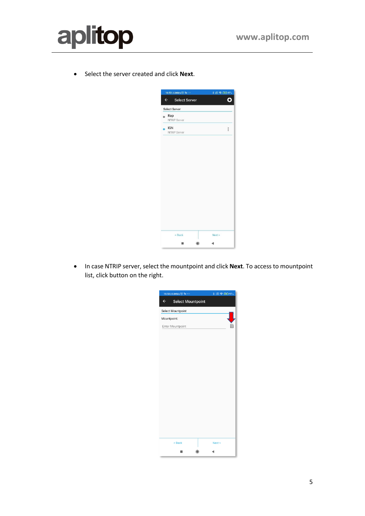

• Select the server created and click **Next**.



• In case NTRIP server, select the mountpoint and click **Next**. To access to mountpoint list, click button on the right.

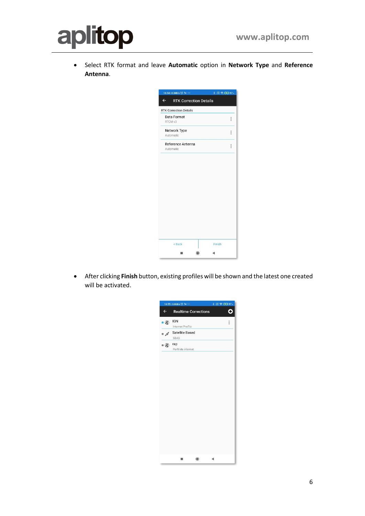

• Select RTK format and leave **Automatic** option in **Network Type** and **Reference Antenna**.

| 16:54   0.0KB/s ⊙ to                          | 8 图 零 区 97 ℃ |             |
|-----------------------------------------------|--------------|-------------|
| <b>RTK Correction Details</b><br>$\leftarrow$ |              |             |
| <b>RTK Correction Details</b>                 |              |             |
| Data Format<br>RTCM v3                        |              | Ĩ           |
| Network Type<br>Automatic                     |              | <b>Hand</b> |
| Reference Antenna<br>Automatic                |              | H           |
|                                               |              |             |
|                                               |              |             |
|                                               |              |             |
|                                               |              |             |
|                                               |              |             |
|                                               |              |             |
|                                               |              |             |
|                                               |              |             |
|                                               |              |             |
|                                               |              |             |
|                                               |              |             |
| < Back                                        | Finish       |             |

• After clicking **Finish** button, existing profiles will be shown and the latest one created will be activated.

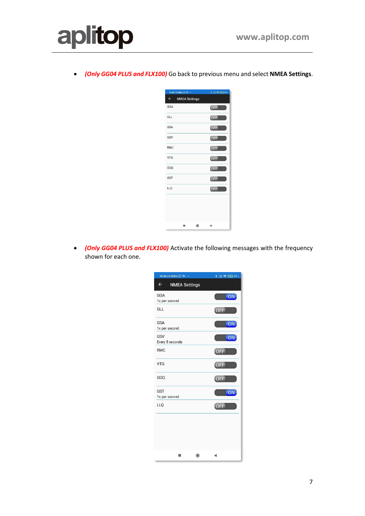

• *(Only GG04 PLUS and FLX100)* Go back to previous menu and select **NMEA Settings**.



• *(Only GG04 PLUS and FLX100)* Activate the following messages with the frequency shown for each one.

| 16:56   0.0KB/s ◎ : o ···            |            | <b>* 图 帝 [3] 97%</b> |
|--------------------------------------|------------|----------------------|
| $\leftarrow$<br><b>NMEA Settings</b> |            |                      |
| GGA<br>1x per second                 |            | ON                   |
| GLL                                  |            | OFF                  |
| <b>GSA</b><br>1x per second          |            | ON                   |
| GSV<br>Every 5 seconds               |            | ON                   |
| <b>RMC</b>                           |            | OFF                  |
| <b>VTG</b>                           |            | OFF                  |
| GGQ                                  |            | OFF                  |
| <b>GST</b><br>1x per second          |            | <b>ON</b>            |
| LLQ                                  |            | OFF                  |
|                                      |            |                      |
|                                      |            |                      |
|                                      |            |                      |
| 圖                                    | $\bigcirc$ | ◀                    |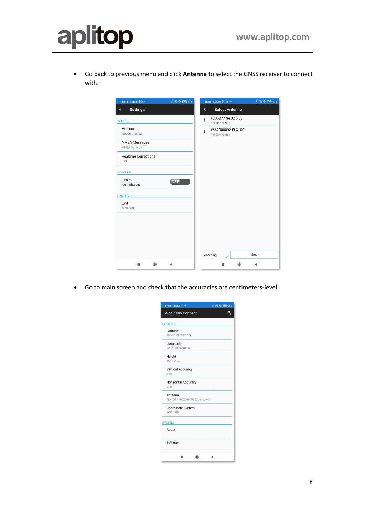

• Go back to previous menu and click **Antenna** to select the GNSS receiver to connect with.

| 16:51   1.4KB/s ◎ to …                       | * 图 R GD 97、 |              | $16:56   0.0KB/s \odot 50 \cdots$  |   | * 图 帝 (3) 97% |
|----------------------------------------------|--------------|--------------|------------------------------------|---|---------------|
| $\leftarrow$<br><b>Settings</b>              |              | $\leftarrow$ | Select Antenna                     |   |               |
| <b>SENSOR</b>                                |              | $\ast$       | #205077 GG02 plus<br>Not Connected |   |               |
| Antenna<br>Not Connected                     |              | $\ast$       | #662000092 FLX100<br>Not Connected |   |               |
| <b>NMEA Messages</b><br><b>NMEA Settings</b> |              |              |                                    |   |               |
| <b>Realtime Corrections</b><br><b>IGN</b>    |              |              |                                    |   |               |
| <b>POSITION</b>                              |              |              |                                    |   |               |
| Limits<br>No limits set                      | OFF          |              |                                    |   |               |
| <b>SYSTEM</b>                                |              |              |                                    |   |               |
| Unit<br>Meter (m)                            |              |              |                                    |   |               |
|                                              |              |              | Searching                          |   | Stop          |
| $\odot$<br>■                                 |              |              |                                    | ⊙ |               |

• Go to main screen and check that the accuracies are centimeters-level.

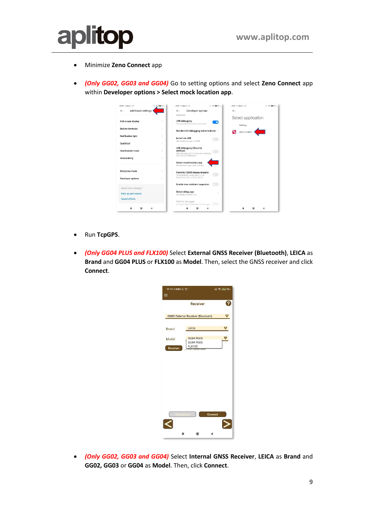

- Minimize **Zeno Connect** app
- *(Only GG02, GG03 and GG04)* Go to setting options and select **Zeno Connect** app within **Developer options > Select mock location app**.

| 10:50 2.700% (5)                           | (三堂 国际91)     | 10:51:0.1KB/s (-) (-)                                                                                        | (三 常 国际 91)   | 10:51:0.1KB/s (-1) | (三) 空 [图1-91] |
|--------------------------------------------|---------------|--------------------------------------------------------------------------------------------------------------|---------------|--------------------|---------------|
| <b>Additional settings</b><br>$\leftarrow$ |               | Developer options<br>$\leftarrow$<br>DEBUGG ING                                                              | $\leftarrow$  | Select application |               |
| Full screen display                        |               | <b>USB debugging</b><br>Dribug mode when USB is connected                                                    | о             | Nothing            |               |
| <b>Button shortcuts</b>                    | $\mathcal{P}$ | Revoke USB debugging authorisations                                                                          | Рą            | Zeno Connect       |               |
| <b>Notification light</b>                  |               | Install via USB<br>Allow installing apps via USB                                                             |               |                    |               |
| Quick ball                                 | S.            |                                                                                                              |               |                    |               |
| One-handed mode                            | s             | USB debugging (Security<br>settings)<br>Allow granting permissions and simulating<br>input via USB dehugging |               |                    |               |
| Accessibility                              |               | Select mock location app<br>Mock location app: Zeno Connect                                                  |               |                    |               |
| <b>Enterprise mode</b>                     | ÿ             | Force full GNSS measurements<br>Track all GNSS constellations and                                            |               |                    |               |
| Developer options                          | $\mathbf{y}$  | frequencies with no duty cycling.                                                                            |               |                    |               |
| Need other settings?                       |               | Enable view attribute inspection                                                                             |               |                    |               |
| <b>Back up and restore</b>                 |               | Select debug app<br>No debug application set                                                                 | $\mathcal{S}$ |                    |               |
| Sound effects                              |               | Wait for debugger<br>Debugged application waits for debugger                                                 | om            |                    |               |
|                                            |               |                                                                                                              |               |                    |               |

- Run **TcpGPS**.
- *(Only GG04 PLUS and FLX100)* Select **External GNSS Receiver (Bluetooth)**, **LEICA** as **Brand** and **GG04 PLUS** or **FLX100** as **Model**. Then, select the GNSS receiver and click **Connect**.



• *(Only GG02, GG03 and GG04)* Select **Internal GNSS Receiver**, **LEICA** as **Brand** and **GG02, GG03** or **GG04** as **Model**. Then, click **Connect**.